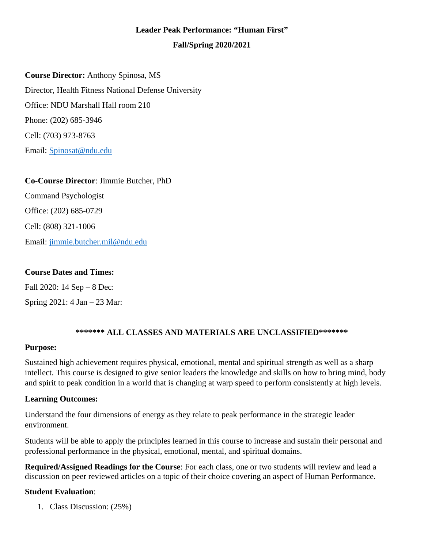## **Leader Peak Performance: "Human First"**

#### **Fall/Spring 2020/2021**

**Course Director:** Anthony Spinosa, MS Director, Health Fitness National Defense University Office: NDU Marshall Hall room 210 Phone: (202) 685-3946 Cell: (703) 973-8763 Email: [Spinosat@ndu.edu](mailto:Spinosat@ndu.edu)

**Co-Course Director**: Jimmie Butcher, PhD Command Psychologist Office: (202) 685-0729 Cell: (808) 321-1006 Email: [jimmie.butcher.mil@ndu.edu](mailto:jimmie.butcher.mil@ndu.edu)

#### **Course Dates and Times:**

Fall 2020: 14 Sep – 8 Dec: Spring 2021: 4 Jan – 23 Mar:

## **\*\*\*\*\*\*\* ALL CLASSES AND MATERIALS ARE UNCLASSIFIED\*\*\*\*\*\*\***

#### **Purpose:**

Sustained high achievement requires physical, emotional, mental and spiritual strength as well as a sharp intellect. This course is designed to give senior leaders the knowledge and skills on how to bring mind, body and spirit to peak condition in a world that is changing at warp speed to perform consistently at high levels.

#### **Learning Outcomes:**

Understand the four dimensions of energy as they relate to peak performance in the strategic leader environment.

Students will be able to apply the principles learned in this course to increase and sustain their personal and professional performance in the physical, emotional, mental, and spiritual domains.

**Required/Assigned Readings for the Course**: For each class, one or two students will review and lead a discussion on peer reviewed articles on a topic of their choice covering an aspect of Human Performance.

#### **Student Evaluation**:

1. Class Discussion: (25%)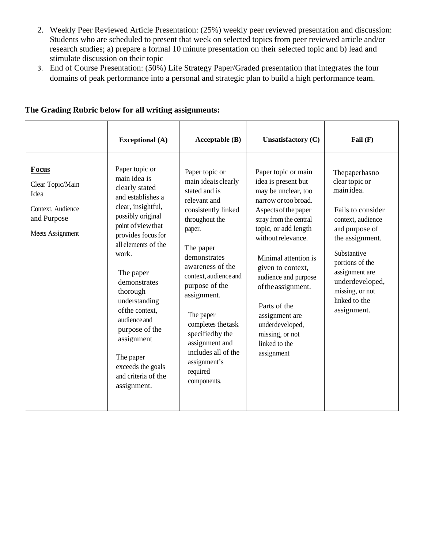- 2. Weekly Peer Reviewed Article Presentation: (25%) weekly peer reviewed presentation and discussion: Students who are scheduled to present that week on selected topics from peer reviewed article and/or research studies; a) prepare a formal 10 minute presentation on their selected topic and b) lead and stimulate discussion on their topic
- 3. End of Course Presentation: (50%) Life Strategy Paper/Graded presentation that integrates the four domains of peak performance into a personal and strategic plan to build a high performance team.

|                                                                                           | <b>Exceptional</b> (A)                                                                                                                                                                                                                                                                                                                                                                            | Acceptable (B)                                                                                                                                                                                                                                                                                                                                                                 | <b>Unsatisfactory (C)</b>                                                                                                                                                                                                                                                                                                                                                                   | Fail $(F)$                                                                                                                                                                                                                                                |
|-------------------------------------------------------------------------------------------|---------------------------------------------------------------------------------------------------------------------------------------------------------------------------------------------------------------------------------------------------------------------------------------------------------------------------------------------------------------------------------------------------|--------------------------------------------------------------------------------------------------------------------------------------------------------------------------------------------------------------------------------------------------------------------------------------------------------------------------------------------------------------------------------|---------------------------------------------------------------------------------------------------------------------------------------------------------------------------------------------------------------------------------------------------------------------------------------------------------------------------------------------------------------------------------------------|-----------------------------------------------------------------------------------------------------------------------------------------------------------------------------------------------------------------------------------------------------------|
| Focus<br>Clear Topic/Main<br>Idea<br>Context, Audience<br>and Purpose<br>Meets Assignment | Paper topic or<br>main idea is<br>clearly stated<br>and establishes a<br>clear, insightful,<br>possibly original<br>point of view that<br>provides focus for<br>all elements of the<br>work.<br>The paper<br>demonstrates<br>thorough<br>understanding<br>of the context.<br>audience and<br>purpose of the<br>assignment<br>The paper<br>exceeds the goals<br>and criteria of the<br>assignment. | Paper topic or<br>main ideaisclearly<br>stated and is<br>relevant and<br>consistently linked<br>throughout the<br>paper.<br>The paper<br>demonstrates<br>awareness of the<br>context, audience and<br>purpose of the<br>assignment.<br>The paper<br>completes the task<br>specified by the<br>assignment and<br>includes all of the<br>assignment's<br>required<br>components. | Paper topic or main<br>idea is present but<br>may be unclear, too<br>narrow or too broad.<br>Aspects of the paper<br>stray from the central<br>topic, or add length<br>without relevance.<br>Minimal attention is<br>given to context,<br>audience and purpose<br>of the assignment.<br>Parts of the<br>assignment are<br>underdeveloped,<br>missing, or not<br>linked to the<br>assignment | The paper has no<br>clear topic or<br>main idea.<br>Fails to consider<br>context, audience<br>and purpose of<br>the assignment.<br>Substantive<br>portions of the<br>assignment are<br>underdeveloped,<br>missing, or not<br>linked to the<br>assignment. |

## **The Grading Rubric below for all writing assignments:**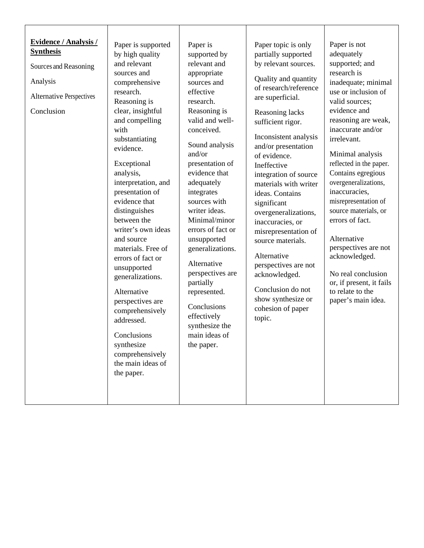| <b>Evidence / Analysis /</b><br>Paper is supported<br>Paper is<br>Paper topic is only<br>Paper is not<br><b>Synthesis</b><br>adequately<br>by high quality<br>partially supported<br>supported by<br>relevant and<br>and relevant<br>supported; and<br>by relevant sources.<br>Sources and Reasoning<br>research is<br>appropriate<br>sources and<br>Quality and quantity<br>Analysis<br>inadequate; minimal<br>sources and<br>comprehensive<br>of research/reference<br>use or inclusion of<br>research.<br>effective<br><b>Alternative Perspectives</b><br>are superficial.<br>Reasoning is<br>valid sources;<br>research.<br>evidence and<br>clear, insightful<br>Reasoning is<br>Conclusion<br>Reasoning lacks<br>valid and well-<br>and compelling<br>reasoning are weak,<br>sufficient rigor.<br>inaccurate and/or<br>with<br>conceived.<br>Inconsistent analysis<br>irrelevant.<br>substantiating<br>Sound analysis<br>and/or presentation<br>evidence.<br>and/or<br>Minimal analysis<br>of evidence.<br>reflected in the paper.<br>Exceptional<br>presentation of<br>Ineffective<br>evidence that<br>Contains egregious<br>analysis,<br>integration of source<br>overgeneralizations,<br>interpretation, and<br>adequately<br>materials with writer<br>inaccuracies,<br>presentation of<br>integrates<br>ideas. Contains<br>evidence that<br>sources with<br>misrepresentation of<br>significant<br>distinguishes<br>writer ideas.<br>source materials, or<br>overgeneralizations,<br>Minimal/minor<br>errors of fact.<br>between the<br>inaccuracies, or<br>writer's own ideas<br>errors of fact or<br>misrepresentation of<br>Alternative<br>and source<br>unsupported<br>source materials.<br>perspectives are not<br>materials. Free of<br>generalizations.<br>Alternative<br>acknowledged.<br>errors of fact or<br>Alternative<br>perspectives are not<br>unsupported<br>perspectives are<br>No real conclusion<br>acknowledged.<br>generalizations.<br>partially<br>or, if present, it fails<br>Conclusion do not<br>to relate to the<br>Alternative<br>represented.<br>show synthesize or<br>paper's main idea.<br>perspectives are<br>Conclusions<br>cohesion of paper<br>comprehensively<br>effectively<br>topic.<br>addressed.<br>synthesize the<br>main ideas of<br>Conclusions<br>synthesize<br>the paper.<br>comprehensively<br>the main ideas of<br>the paper. |  |  |  |
|--------------------------------------------------------------------------------------------------------------------------------------------------------------------------------------------------------------------------------------------------------------------------------------------------------------------------------------------------------------------------------------------------------------------------------------------------------------------------------------------------------------------------------------------------------------------------------------------------------------------------------------------------------------------------------------------------------------------------------------------------------------------------------------------------------------------------------------------------------------------------------------------------------------------------------------------------------------------------------------------------------------------------------------------------------------------------------------------------------------------------------------------------------------------------------------------------------------------------------------------------------------------------------------------------------------------------------------------------------------------------------------------------------------------------------------------------------------------------------------------------------------------------------------------------------------------------------------------------------------------------------------------------------------------------------------------------------------------------------------------------------------------------------------------------------------------------------------------------------------------------------------------------------------------------------------------------------------------------------------------------------------------------------------------------------------------------------------------------------------------------------------------------------------------------------------------------------------------------------------------------------------------------------------------------------------------------------------------------------------------------------------|--|--|--|
|                                                                                                                                                                                                                                                                                                                                                                                                                                                                                                                                                                                                                                                                                                                                                                                                                                                                                                                                                                                                                                                                                                                                                                                                                                                                                                                                                                                                                                                                                                                                                                                                                                                                                                                                                                                                                                                                                                                                                                                                                                                                                                                                                                                                                                                                                                                                                                                      |  |  |  |
|                                                                                                                                                                                                                                                                                                                                                                                                                                                                                                                                                                                                                                                                                                                                                                                                                                                                                                                                                                                                                                                                                                                                                                                                                                                                                                                                                                                                                                                                                                                                                                                                                                                                                                                                                                                                                                                                                                                                                                                                                                                                                                                                                                                                                                                                                                                                                                                      |  |  |  |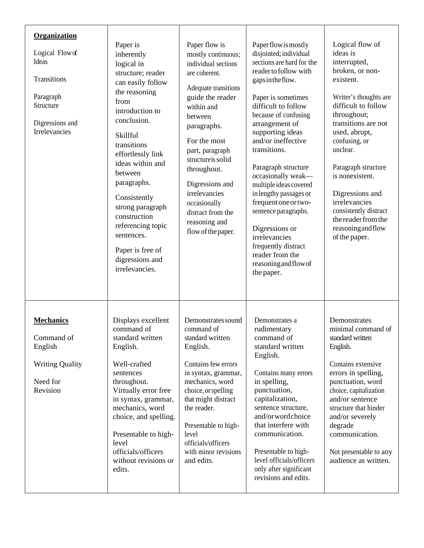| Organization<br>Logical Flow of<br>Ideas<br>Transitions<br>Paragraph<br>Structure<br>Digressions and<br>Irrelevancies | Paper is<br>inherently<br>logical in<br>structure; reader<br>can easily follow<br>the reasoning<br>from<br>introduction to<br>conclusion.<br>Skillful<br>transitions<br>effortlessly link<br>ideas within and<br>between<br>paragraphs.<br>Consistently<br>strong paragraph<br>construction<br>referencing topic<br>sentences.<br>Paper is free of<br>digressions and<br>irrelevancies. | Paper flow is<br>mostly continuous;<br>individual sections<br>are coherent.<br>Adequate transitions<br>guide the reader<br>within and<br>between<br>paragraphs.<br>For the most<br>part, paragraph<br>structure is solid<br>throughout.<br>Digressions and<br>irrelevancies<br>occasionally<br>distract from the<br>reasoning and<br>flow of the paper. | Paperflowismostly<br>disjointed; individual<br>sections are hard for the<br>reader to follow with<br>gapsintheflow.<br>Paper is sometimes<br>difficult to follow<br>because of confusing<br>arrangement of<br>supporting ideas<br>and/or ineffective<br>transitions.<br>Paragraph structure<br>occasionally weak-<br>multiple ideas covered<br>in lengthy passages or<br>frequent one or two-<br>sentence paragraphs.<br>Digressions or<br>irrelevancies<br>frequently distract<br>reader from the<br>reasoning and flow of<br>the paper. | Logical flow of<br>ideas is<br>interrupted,<br>broken, or non-<br>existent.<br>Writer's thoughts are<br>difficult to follow<br>throughout;<br>transitions are not<br>used, abrupt,<br>confusing, or<br>unclear.<br>Paragraph structure<br>is nonexistent.<br>Digressions and<br>irrelevancies<br>consistently distract<br>the reader from the<br>reasoning and flow<br>of the paper. |
|-----------------------------------------------------------------------------------------------------------------------|-----------------------------------------------------------------------------------------------------------------------------------------------------------------------------------------------------------------------------------------------------------------------------------------------------------------------------------------------------------------------------------------|---------------------------------------------------------------------------------------------------------------------------------------------------------------------------------------------------------------------------------------------------------------------------------------------------------------------------------------------------------|-------------------------------------------------------------------------------------------------------------------------------------------------------------------------------------------------------------------------------------------------------------------------------------------------------------------------------------------------------------------------------------------------------------------------------------------------------------------------------------------------------------------------------------------|--------------------------------------------------------------------------------------------------------------------------------------------------------------------------------------------------------------------------------------------------------------------------------------------------------------------------------------------------------------------------------------|
| <b>Mechanics</b><br>Command of<br>English<br><b>Writing Quality</b><br>Need for<br>Revision                           | Displays excellent<br>command of<br>standard written<br>English.<br>Well-crafted<br>sentences<br>throughout.<br>Virtually error free<br>in syntax, grammar,<br>mechanics, word<br>choice, and spelling.<br>Presentable to high-<br>level<br>officials/officers<br>without revisions or<br>edits.                                                                                        | Demonstrates sound<br>command of<br>standard written<br>English.<br>Contains few errors<br>in syntax, grammar,<br>mechanics, word<br>choice, or spelling<br>that might distract<br>the reader.<br>Presentable to high-<br>level<br>officials/officers<br>with minor revisions<br>and edits.                                                             | Demonstrates a<br>rudimentary<br>command of<br>standard written<br>English.<br>Contains many errors<br>in spelling,<br>punctuation,<br>capitalization,<br>sentence structure,<br>and/orwordchoice<br>that interfere with<br>communication.<br>Presentable to high-<br>level officials/officers<br>only after significant<br>revisions and edits.                                                                                                                                                                                          | Demonstrates<br>minimal command of<br>standard written<br>English.<br>Contains extensive<br>errors in spelling,<br>punctuation, word<br>choice, capitalization<br>and/or sentence<br>structure that hinder<br>and/or severely<br>degrade<br>communication.<br>Not presentable to any<br>audience as written.                                                                         |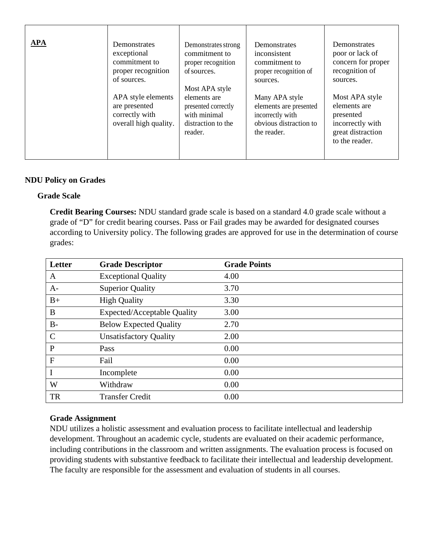| <b>APA</b> | Demonstrates                                                                   | Demonstrates strong                                                                  | Demonstrates                                                                                          | Demonstrates                                                                                           |
|------------|--------------------------------------------------------------------------------|--------------------------------------------------------------------------------------|-------------------------------------------------------------------------------------------------------|--------------------------------------------------------------------------------------------------------|
|            | exceptional                                                                    | commitment to                                                                        | inconsistent                                                                                          | poor or lack of                                                                                        |
|            | commitment to                                                                  | proper recognition                                                                   | commitment to                                                                                         | concern for proper                                                                                     |
|            | proper recognition                                                             | of sources.                                                                          | proper recognition of                                                                                 | recognition of                                                                                         |
|            | of sources.                                                                    | Most APA style                                                                       | sources.                                                                                              | sources.                                                                                               |
|            | APA style elements<br>are presented<br>correctly with<br>overall high quality. | elements are<br>presented correctly<br>with minimal<br>distraction to the<br>reader. | Many APA style<br>elements are presented<br>incorrectly with<br>obvious distraction to<br>the reader. | Most APA style<br>elements are<br>presented<br>incorrectly with<br>great distraction<br>to the reader. |

## **NDU Policy on Grades**

#### **Grade Scale**

**Credit Bearing Courses:** NDU standard grade scale is based on a standard 4.0 grade scale without a grade of "D" for credit bearing courses. Pass or Fail grades may be awarded for designated courses according to University policy. The following grades are approved for use in the determination of course grades:

| Letter       | <b>Grade Descriptor</b>            | <b>Grade Points</b> |
|--------------|------------------------------------|---------------------|
| A            | <b>Exceptional Quality</b>         | 4.00                |
| $A-$         | <b>Superior Quality</b>            | 3.70                |
| $B+$         | <b>High Quality</b>                | 3.30                |
| B            | <b>Expected/Acceptable Quality</b> | 3.00                |
| $B-$         | <b>Below Expected Quality</b>      | 2.70                |
| $\mathsf{C}$ | <b>Unsatisfactory Quality</b>      | 2.00                |
| $\mathbf{P}$ | Pass                               | 0.00                |
| $\mathbf{F}$ | Fail                               | 0.00                |
|              | Incomplete                         | 0.00                |
| W            | Withdraw                           | 0.00                |
| <b>TR</b>    | <b>Transfer Credit</b>             | 0.00                |

#### **Grade Assignment**

NDU utilizes a holistic assessment and evaluation process to facilitate intellectual and leadership development. Throughout an academic cycle, students are evaluated on their academic performance, including contributions in the classroom and written assignments. The evaluation process is focused on providing students with substantive feedback to facilitate their intellectual and leadership development. The faculty are responsible for the assessment and evaluation of students in all courses.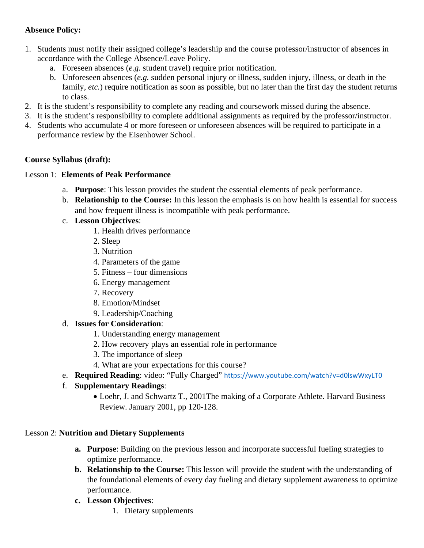# **Absence Policy:**

- 1. Students must notify their assigned college's leadership and the course professor/instructor of absences in accordance with the College Absence/Leave Policy.
	- a. Foreseen absences (*e.g.* student travel) require prior notification.
	- b. Unforeseen absences (*e.g.* sudden personal injury or illness, sudden injury, illness, or death in the family, *etc.*) require notification as soon as possible, but no later than the first day the student returns to class.
- 2. It is the student's responsibility to complete any reading and coursework missed during the absence.
- 3. It is the student's responsibility to complete additional assignments as required by the professor/instructor.
- 4. Students who accumulate 4 or more foreseen or unforeseen absences will be required to participate in a performance review by the Eisenhower School.

## **Course Syllabus (draft):**

## Lesson 1: **Elements of Peak Performance**

- a. **Purpose**: This lesson provides the student the essential elements of peak performance.
- b. **Relationship to the Course:** In this lesson the emphasis is on how health is essential for success and how frequent illness is incompatible with peak performance.
- c. **Lesson Objectives**:
	- 1. Health drives performance
	- 2. Sleep
	- 3. Nutrition
	- 4. Parameters of the game
	- 5. Fitness four dimensions
	- 6. Energy management
	- 7. Recovery
	- 8. Emotion/Mindset
	- 9. Leadership/Coaching

## d. **Issues for Consideration**:

- 1. Understanding energy management
- 2. How recovery plays an essential role in performance
- 3. The importance of sleep
- 4. What are your expectations for this course?
- e. **Required Reading**: video: "Fully Charged" <https://www.youtube.com/watch?v=d0lswWxyLT0>

# f. **Supplementary Readings**:

• Loehr, J. and Schwartz T., 2001The making of a Corporate Athlete. Harvard Business Review. January 2001, pp 120-128.

## Lesson 2: **Nutrition and Dietary Supplements**

- **a. Purpose**: Building on the previous lesson and incorporate successful fueling strategies to optimize performance.
- **b. Relationship to the Course:** This lesson will provide the student with the understanding of the foundational elements of every day fueling and dietary supplement awareness to optimize performance.
- **c. Lesson Objectives**:
	- 1. Dietary supplements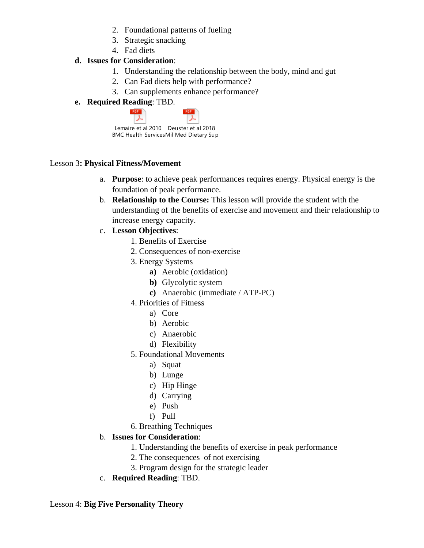- 2. Foundational patterns of fueling
- 3. Strategic snacking
- 4. Fad diets

# **d. Issues for Consideration**:

- 1. Understanding the relationship between the body, mind and gut
- 2. Can Fad diets help with performance?
- 3. Can supplements enhance performance?
- **e. Required Reading**: TBD.

| Lemaire et al 2010 Deuster et al 2018 |                                        |  |
|---------------------------------------|----------------------------------------|--|
|                                       | BMC Health ServicesMil Med Dietary Sup |  |

## Lesson 3**: Physical Fitness/Movement**

- a. **Purpose**: to achieve peak performances requires energy. Physical energy is the foundation of peak performance.
- b. **Relationship to the Course:** This lesson will provide the student with the understanding of the benefits of exercise and movement and their relationship to increase energy capacity.
- c. **Lesson Objectives**:
	- 1. Benefits of Exercise
	- 2. Consequences of non-exercise
	- 3. Energy Systems
		- **a)** Aerobic (oxidation)
		- **b)** Glycolytic system
		- **c)** Anaerobic (immediate / ATP-PC)
	- 4. Priorities of Fitness
		- a) Core
		- b) Aerobic
		- c) Anaerobic
		- d) Flexibility
	- 5. Foundational Movements
		- a) Squat
		- b) Lunge
		- c) Hip Hinge
		- d) Carrying
		- e) Push
		- f) Pull
	- 6. Breathing Techniques

# b. **Issues for Consideration**:

- 1. Understanding the benefits of exercise in peak performance
- 2. The consequences of not exercising
- 3. Program design for the strategic leader
- c. **Required Reading**: TBD.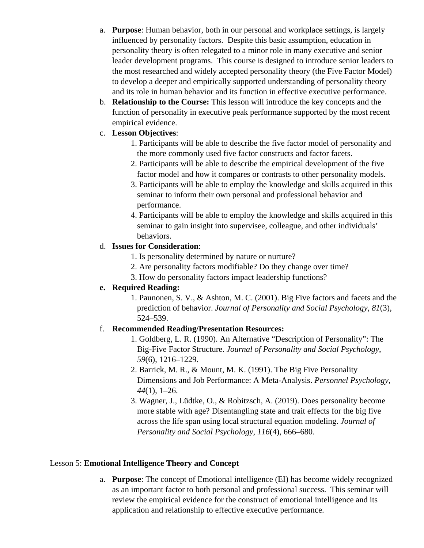- a. **Purpose**: Human behavior, both in our personal and workplace settings, is largely influenced by personality factors. Despite this basic assumption, education in personality theory is often relegated to a minor role in many executive and senior leader development programs. This course is designed to introduce senior leaders to the most researched and widely accepted personality theory (the Five Factor Model) to develop a deeper and empirically supported understanding of personality theory and its role in human behavior and its function in effective executive performance.
- b. **Relationship to the Course:** This lesson will introduce the key concepts and the function of personality in executive peak performance supported by the most recent empirical evidence.

## c. **Lesson Objectives**:

- 1. Participants will be able to describe the five factor model of personality and the more commonly used five factor constructs and factor facets.
- 2. Participants will be able to describe the empirical development of the five factor model and how it compares or contrasts to other personality models.
- 3. Participants will be able to employ the knowledge and skills acquired in this seminar to inform their own personal and professional behavior and performance.
- 4. Participants will be able to employ the knowledge and skills acquired in this seminar to gain insight into supervisee, colleague, and other individuals' behaviors.

## d. **Issues for Consideration**:

- 1. Is personality determined by nature or nurture?
- 2. Are personality factors modifiable? Do they change over time?
- 3. How do personality factors impact leadership functions?

# **e. Required Reading:**

1. Paunonen, S. V., & Ashton, M. C. (2001). Big Five factors and facets and the prediction of behavior. *Journal of Personality and Social Psychology*, *81*(3), 524–539.

## f. **Recommended Reading/Presentation Resources:**

- 1. Goldberg, L. R. (1990). An Alternative "Description of Personality": The Big-Five Factor Structure. *Journal of Personality and Social Psychology*, *59*(6), 1216–1229.
- 2. Barrick, M. R., & Mount, M. K. (1991). The Big Five Personality Dimensions and Job Performance: A Meta-Analysis. *Personnel Psychology*, *44*(1), 1–26.
- 3. Wagner, J., Lüdtke, O., & Robitzsch, A. (2019). Does personality become more stable with age? Disentangling state and trait effects for the big five across the life span using local structural equation modeling. *Journal of Personality and Social Psychology*, *116*(4), 666–680.

## Lesson 5: **Emotional Intelligence Theory and Concept**

a. **Purpose**: The concept of Emotional intelligence (EI) has become widely recognized as an important factor to both personal and professional success. This seminar will review the empirical evidence for the construct of emotional intelligence and its application and relationship to effective executive performance.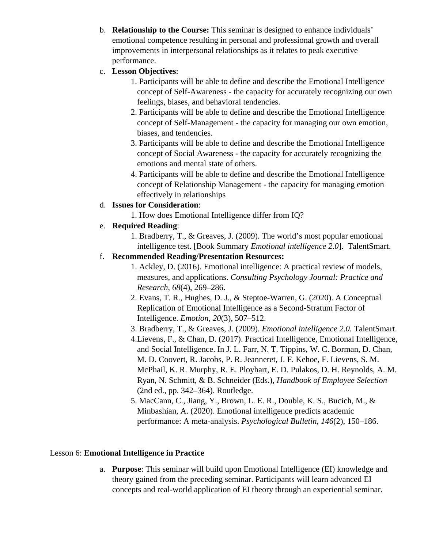b. **Relationship to the Course:** This seminar is designed to enhance individuals' emotional competence resulting in personal and professional growth and overall improvements in interpersonal relationships as it relates to peak executive performance.

## c. **Lesson Objectives**:

- 1. Participants will be able to define and describe the Emotional Intelligence concept of Self-Awareness - the capacity for accurately recognizing our own feelings, biases, and behavioral tendencies.
- 2. Participants will be able to define and describe the Emotional Intelligence concept of Self-Management - the capacity for managing our own emotion, biases, and tendencies.
- 3. Participants will be able to define and describe the Emotional Intelligence concept of Social Awareness - the capacity for accurately recognizing the emotions and mental state of others.
- 4. Participants will be able to define and describe the Emotional Intelligence concept of Relationship Management - the capacity for managing emotion effectively in relationships
- d. **Issues for Consideration**:
	- 1. How does Emotional Intelligence differ from IQ?
- e. **Required Reading**:
	- 1. Bradberry, T., & Greaves, J. (2009). The world's most popular emotional intelligence test. [Book Summary *Emotional intelligence 2.0*]. TalentSmart.

## f. **Recommended Reading/Presentation Resources:**

- 1. Ackley, D. (2016). Emotional intelligence: A practical review of models, measures, and applications. *Consulting Psychology Journal: Practice and Research*, *68*(4), 269–286.
- 2. Evans, T. R., Hughes, D. J., & Steptoe-Warren, G. (2020). A Conceptual Replication of Emotional Intelligence as a Second-Stratum Factor of Intelligence. *Emotion*, *20*(3), 507–512.
- 3. Bradberry, T., & Greaves, J. (2009). *Emotional intelligence 2.0.* TalentSmart.
- 4.Lievens, F., & Chan, D. (2017). Practical Intelligence, Emotional Intelligence, and Social Intelligence. In J. L. Farr, N. T. Tippins, W. C. Borman, D. Chan, M. D. Coovert, R. Jacobs, P. R. Jeanneret, J. F. Kehoe, F. Lievens, S. M. McPhail, K. R. Murphy, R. E. Ployhart, E. D. Pulakos, D. H. Reynolds, A. M. Ryan, N. Schmitt, & B. Schneider (Eds.), *Handbook of Employee Selection* (2nd ed., pp. 342–364). Routledge.
- 5. MacCann, C., Jiang, Y., Brown, L. E. R., Double, K. S., Bucich, M., & Minbashian, A. (2020). Emotional intelligence predicts academic performance: A meta-analysis. *Psychological Bulletin*, *146*(2), 150–186.

# Lesson 6: **Emotional Intelligence in Practice**

a. **Purpose**: This seminar will build upon Emotional Intelligence (EI) knowledge and theory gained from the preceding seminar. Participants will learn advanced EI concepts and real-world application of EI theory through an experiential seminar.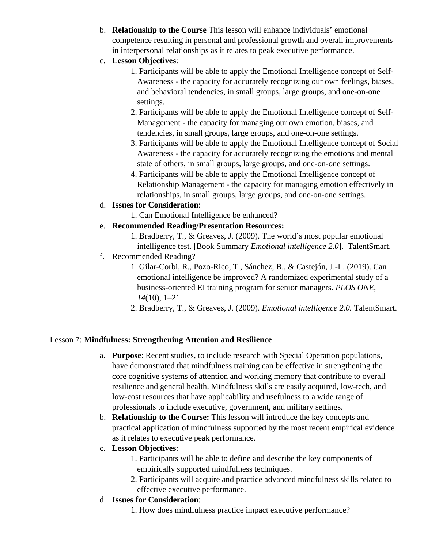- b. **Relationship to the Course** This lesson will enhance individuals' emotional competence resulting in personal and professional growth and overall improvements in interpersonal relationships as it relates to peak executive performance.
- c. **Lesson Objectives**:
	- 1. Participants will be able to apply the Emotional Intelligence concept of Self-Awareness - the capacity for accurately recognizing our own feelings, biases, and behavioral tendencies, in small groups, large groups, and one-on-one settings.
	- 2. Participants will be able to apply the Emotional Intelligence concept of Self-Management - the capacity for managing our own emotion, biases, and tendencies, in small groups, large groups, and one-on-one settings.
	- 3. Participants will be able to apply the Emotional Intelligence concept of Social Awareness - the capacity for accurately recognizing the emotions and mental state of others, in small groups, large groups, and one-on-one settings.
	- 4. Participants will be able to apply the Emotional Intelligence concept of Relationship Management - the capacity for managing emotion effectively in relationships, in small groups, large groups, and one-on-one settings.
- d. **Issues for Consideration**:
	- 1. Can Emotional Intelligence be enhanced?
- e. **Recommended Reading/Presentation Resources:**
	- 1. Bradberry, T., & Greaves, J. (2009). The world's most popular emotional intelligence test. [Book Summary *Emotional intelligence 2.0*]. TalentSmart.
- f. Recommended Reading?
	- 1. Gilar-Corbi, R., Pozo-Rico, T., Sánchez, B., & Castejón, J.-L. (2019). Can emotional intelligence be improved? A randomized experimental study of a business-oriented EI training program for senior managers. *PLOS ONE*, *14*(10), 1–21.
	- 2. Bradberry, T., & Greaves, J. (2009). *Emotional intelligence 2.0.* TalentSmart.

## Lesson 7: **Mindfulness: Strengthening Attention and Resilience**

- a. **Purpose**: Recent studies, to include research with Special Operation populations, have demonstrated that mindfulness training can be effective in strengthening the core cognitive systems of attention and working memory that contribute to overall resilience and general health. Mindfulness skills are easily acquired, low-tech, and low-cost resources that have applicability and usefulness to a wide range of professionals to include executive, government, and military settings.
- b. **Relationship to the Course:** This lesson will introduce the key concepts and practical application of mindfulness supported by the most recent empirical evidence as it relates to executive peak performance.
- c. **Lesson Objectives**:
	- 1. Participants will be able to define and describe the key components of empirically supported mindfulness techniques.
	- 2. Participants will acquire and practice advanced mindfulness skills related to effective executive performance.
- d. **Issues for Consideration**:
	- 1. How does mindfulness practice impact executive performance?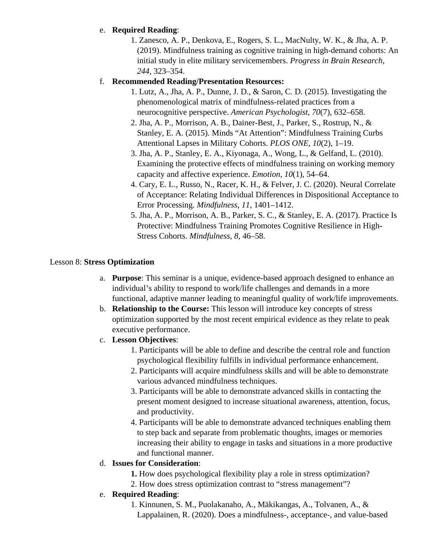## e. **Required Reading**:

1. Zanesco, A. P., Denkova, E., Rogers, S. L., MacNulty, W. K., & Jha, A. P. (2019). Mindfulness training as cognitive training in high-demand cohorts: An initial study in elite military servicemembers. *Progress in Brain Research*, *244*, 323–354.

## f. **Recommended Reading/Presentation Resources:**

- 1. Lutz, A., Jha, A. P., Dunne, J. D., & Saron, C. D. (2015). Investigating the phenomenological matrix of mindfulness-related practices from a neurocognitive perspective. *American Psychologist*, *70*(7), 632–658.
- 2. Jha, A. P., Morrison, A. B., Dainer-Best, J., Parker, S., Rostrup, N., & Stanley, E. A. (2015). Minds "At Attention": Mindfulness Training Curbs Attentional Lapses in Military Cohorts. *PLOS ONE*, *10*(2), 1–19.
- 3. Jha, A. P., Stanley, E. A., Kiyonaga, A., Wong, L., & Gelfand, L. (2010). Examining the protective effects of mindfulness training on working memory capacity and affective experience. *Emotion*, *10*(1), 54–64.
- 4. Cary, E. L., Russo, N., Racer, K. H., & Felver, J. C. (2020). Neural Correlate of Acceptance: Relating Individual Differences in Dispositional Acceptance to Error Processing. *Mindfulness*, *11*, 1401–1412.
- 5. Jha, A. P., Morrison, A. B., Parker, S. C., & Stanley, E. A. (2017). Practice Is Protective: Mindfulness Training Promotes Cognitive Resilience in High-Stress Cohorts. *Mindfulness*, *8*, 46–58.

## Lesson 8: **Stress Optimization**

- a. **Purpose**: This seminar is a unique, evidence-based approach designed to enhance an individual's ability to respond to work/life challenges and demands in a more functional, adaptive manner leading to meaningful quality of work/life improvements.
- b. **Relationship to the Course:** This lesson will introduce key concepts of stress optimization supported by the most recent empirical evidence as they relate to peak executive performance.
- c. **Lesson Objectives**:
	- 1. Participants will be able to define and describe the central role and function psychological flexibility fulfills in individual performance enhancement.
	- 2. Participants will acquire mindfulness skills and will be able to demonstrate various advanced mindfulness techniques.
	- 3. Participants will be able to demonstrate advanced skills in contacting the present moment designed to increase situational awareness, attention, focus, and productivity.
	- 4. Participants will be able to demonstrate advanced techniques enabling them to step back and separate from problematic thoughts, images or memories increasing their ability to engage in tasks and situations in a more productive and functional manner.

## d. **Issues for Consideration**:

- **1.** How does psychological flexibility play a role in stress optimization?
- 2. How does stress optimization contrast to "stress management"?

# e. **Required Reading**:

1. Kinnunen, S. M., Puolakanaho, A., Mäkikangas, A., Tolvanen, A., & Lappalainen, R. (2020). Does a mindfulness-, acceptance-, and value-based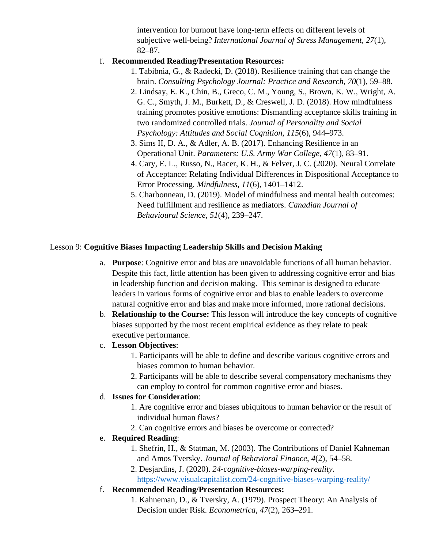intervention for burnout have long-term effects on different levels of subjective well-being? *International Journal of Stress Management*, *27*(1), 82–87.

## f. **Recommended Reading/Presentation Resources:**

- 1. Tabibnia, G., & Radecki, D. (2018). Resilience training that can change the brain. *Consulting Psychology Journal: Practice and Research*, *70*(1), 59–88.
- 2. Lindsay, E. K., Chin, B., Greco, C. M., Young, S., Brown, K. W., Wright, A. G. C., Smyth, J. M., Burkett, D., & Creswell, J. D. (2018). How mindfulness training promotes positive emotions: Dismantling acceptance skills training in two randomized controlled trials. *Journal of Personality and Social Psychology: Attitudes and Social Cognition*, *115*(6), 944–973.
- 3. Sims II, D. A., & Adler, A. B. (2017). Enhancing Resilience in an Operational Unit. *Parameters: U.S. Army War College*, *47*(1), 83–91.
- 4. Cary, E. L., Russo, N., Racer, K. H., & Felver, J. C. (2020). Neural Correlate of Acceptance: Relating Individual Differences in Dispositional Acceptance to Error Processing. *Mindfulness*, *11*(6), 1401–1412.
- 5. Charbonneau, D. (2019). Model of mindfulness and mental health outcomes: Need fulfillment and resilience as mediators. *Canadian Journal of Behavioural Science*, *51*(4), 239–247.

## Lesson 9: **Cognitive Biases Impacting Leadership Skills and Decision Making**

- a. **Purpose**: Cognitive error and bias are unavoidable functions of all human behavior. Despite this fact, little attention has been given to addressing cognitive error and bias in leadership function and decision making. This seminar is designed to educate leaders in various forms of cognitive error and bias to enable leaders to overcome natural cognitive error and bias and make more informed, more rational decisions.
- b. **Relationship to the Course:** This lesson will introduce the key concepts of cognitive biases supported by the most recent empirical evidence as they relate to peak executive performance.
- c. **Lesson Objectives**:
	- 1. Participants will be able to define and describe various cognitive errors and biases common to human behavior.
	- 2. Participants will be able to describe several compensatory mechanisms they can employ to control for common cognitive error and biases.

## d. **Issues for Consideration**:

- 1. Are cognitive error and biases ubiquitous to human behavior or the result of individual human flaws?
- 2. Can cognitive errors and biases be overcome or corrected?

## e. **Required Reading**:

- 1. Shefrin, H., & Statman, M. (2003). The Contributions of Daniel Kahneman and Amos Tversky. *Journal of Behavioral Finance*, *4*(2), 54–58.
- 2. Desjardins, J. (2020). *24-cognitive-biases-warping-reality*. <https://www.visualcapitalist.com/24-cognitive-biases-warping-reality/>

## f. **Recommended Reading/Presentation Resources:**

1. Kahneman, D., & Tversky, A. (1979). Prospect Theory: An Analysis of Decision under Risk. *Econometrica*, *47*(2), 263–291.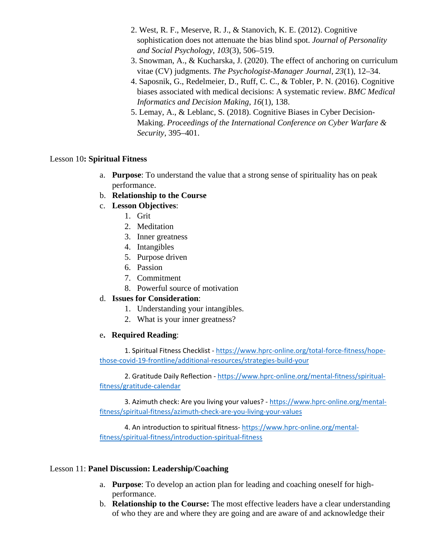- 2. West, R. F., Meserve, R. J., & Stanovich, K. E. (2012). Cognitive sophistication does not attenuate the bias blind spot. *Journal of Personality and Social Psychology*, *103*(3), 506–519.
- 3. Snowman, A., & Kucharska, J. (2020). The effect of anchoring on curriculum vitae (CV) judgments. *The Psychologist-Manager Journal*, *23*(1), 12–34.
- 4. Saposnik, G., Redelmeier, D., Ruff, C. C., & Tobler, P. N. (2016). Cognitive biases associated with medical decisions: A systematic review. *BMC Medical Informatics and Decision Making*, *16*(1), 138.
- 5. Lemay, A., & Leblanc, S. (2018). Cognitive Biases in Cyber Decision-Making. *Proceedings of the International Conference on Cyber Warfare & Security*, 395–401.

#### Lesson 10**: Spiritual Fitness**

- a. **Purpose**: To understand the value that a strong sense of spirituality has on peak performance.
- b. **Relationship to the Course**
- c. **Lesson Objectives**:
	- 1. Grit
	- 2. Meditation
	- 3. Inner greatness
	- 4. Intangibles
	- 5. Purpose driven
	- 6. Passion
	- 7. Commitment
	- 8. Powerful source of motivation

## d. **Issues for Consideration**:

- 1. Understanding your intangibles.
- 2. What is your inner greatness?

## e**. Required Reading**:

1. Spiritual Fitness Checklist - [https://www.hprc-online.org/total-force-fitness/hope](https://nam04.safelinks.protection.outlook.com/?url=https%3A%2F%2Fwww.hprc-online.org%2Ftotal-force-fitness%2Fhope-those-covid-19-frontline%2Fadditional-resources%2Fstrategies-build-your&data=02%7C01%7CSpinosat%40ndu.edu%7C5e7770fa8ec043c76cf308d83d617a1a%7Cabfe949f1dc8462bbf873527168dc052%7C0%7C0%7C637326836180924809&sdata=Q1jr7ArU%2FJjCE94DhYmLrZauvo%2FbzkLbaJJt%2F4d8ZxA%3D&reserved=0)[those-covid-19-frontline/additional-resources/strategies-build-your](https://nam04.safelinks.protection.outlook.com/?url=https%3A%2F%2Fwww.hprc-online.org%2Ftotal-force-fitness%2Fhope-those-covid-19-frontline%2Fadditional-resources%2Fstrategies-build-your&data=02%7C01%7CSpinosat%40ndu.edu%7C5e7770fa8ec043c76cf308d83d617a1a%7Cabfe949f1dc8462bbf873527168dc052%7C0%7C0%7C637326836180924809&sdata=Q1jr7ArU%2FJjCE94DhYmLrZauvo%2FbzkLbaJJt%2F4d8ZxA%3D&reserved=0)

2. Gratitude Daily Reflection - [https://www.hprc-online.org/mental-fitness/spiritual](https://nam04.safelinks.protection.outlook.com/?url=https%3A%2F%2Fwww.hprc-online.org%2Fmental-fitness%2Fspiritual-fitness%2Fgratitude-calendar&data=02%7C01%7CSpinosat%40ndu.edu%7C5e7770fa8ec043c76cf308d83d617a1a%7Cabfe949f1dc8462bbf873527168dc052%7C0%7C0%7C637326836180934806&sdata=8ogX6HeyA2bUcm0zgSlBmM4awuIzS%2Fx9saur4KzxsGY%3D&reserved=0)[fitness/gratitude-calendar](https://nam04.safelinks.protection.outlook.com/?url=https%3A%2F%2Fwww.hprc-online.org%2Fmental-fitness%2Fspiritual-fitness%2Fgratitude-calendar&data=02%7C01%7CSpinosat%40ndu.edu%7C5e7770fa8ec043c76cf308d83d617a1a%7Cabfe949f1dc8462bbf873527168dc052%7C0%7C0%7C637326836180934806&sdata=8ogX6HeyA2bUcm0zgSlBmM4awuIzS%2Fx9saur4KzxsGY%3D&reserved=0)

3. Azimuth check: Are you living your values? - [https://www.hprc-online.org/mental](https://nam04.safelinks.protection.outlook.com/?url=https%3A%2F%2Fwww.hprc-online.org%2Fmental-fitness%2Fspiritual-fitness%2Fazimuth-check-are-you-living-your-values&data=02%7C01%7CSpinosat%40ndu.edu%7C5e7770fa8ec043c76cf308d83d617a1a%7Cabfe949f1dc8462bbf873527168dc052%7C0%7C0%7C637326836180934806&sdata=4sluyz9iPWSinbjDFdcoLIVIexfc%2FxDXIVWXTflMGTQ%3D&reserved=0)[fitness/spiritual-fitness/azimuth-check-are-you-living-your-values](https://nam04.safelinks.protection.outlook.com/?url=https%3A%2F%2Fwww.hprc-online.org%2Fmental-fitness%2Fspiritual-fitness%2Fazimuth-check-are-you-living-your-values&data=02%7C01%7CSpinosat%40ndu.edu%7C5e7770fa8ec043c76cf308d83d617a1a%7Cabfe949f1dc8462bbf873527168dc052%7C0%7C0%7C637326836180934806&sdata=4sluyz9iPWSinbjDFdcoLIVIexfc%2FxDXIVWXTflMGTQ%3D&reserved=0)

4. An introduction to spiritual fitness- [https://www.hprc-online.org/mental](https://nam04.safelinks.protection.outlook.com/?url=https%3A%2F%2Fwww.hprc-online.org%2Fmental-fitness%2Fspiritual-fitness%2Fintroduction-spiritual-fitness&data=02%7C01%7CSpinosat%40ndu.edu%7C5e7770fa8ec043c76cf308d83d617a1a%7Cabfe949f1dc8462bbf873527168dc052%7C0%7C0%7C637326836180944802&sdata=fO76CZTZSvqeBvLHP3bn0jazpyFQT7iB8JoHlgSYg0c%3D&reserved=0)[fitness/spiritual-fitness/introduction-spiritual-fitness](https://nam04.safelinks.protection.outlook.com/?url=https%3A%2F%2Fwww.hprc-online.org%2Fmental-fitness%2Fspiritual-fitness%2Fintroduction-spiritual-fitness&data=02%7C01%7CSpinosat%40ndu.edu%7C5e7770fa8ec043c76cf308d83d617a1a%7Cabfe949f1dc8462bbf873527168dc052%7C0%7C0%7C637326836180944802&sdata=fO76CZTZSvqeBvLHP3bn0jazpyFQT7iB8JoHlgSYg0c%3D&reserved=0)

## Lesson 11: **Panel Discussion: Leadership/Coaching**

- a. **Purpose**: To develop an action plan for leading and coaching oneself for highperformance.
- b. **Relationship to the Course:** The most effective leaders have a clear understanding of who they are and where they are going and are aware of and acknowledge their